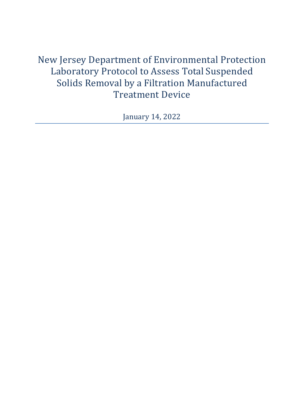New Jersey Department of Environmental Protection Laboratory Protocol to Assess Total Suspended Solids Removal by a Filtration Manufactured Treatment Device

January 14, 2022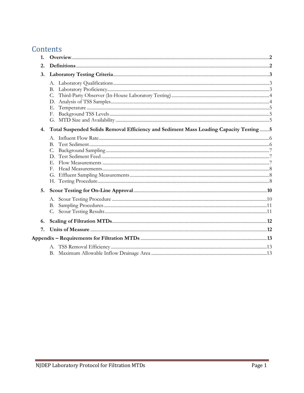# Contents

| 1. |                                                                                         |  |
|----|-----------------------------------------------------------------------------------------|--|
| 2. |                                                                                         |  |
| 3. |                                                                                         |  |
|    | C.<br>Е.<br>F.                                                                          |  |
| 4. | Total Suspended Solids Removal Efficiency and Sediment Mass Loading Capacity Testing  5 |  |
|    | В.<br>$E_{\rm c}$<br>F.                                                                 |  |
| 5. |                                                                                         |  |
|    |                                                                                         |  |
| 6. |                                                                                         |  |
| 7. |                                                                                         |  |
|    |                                                                                         |  |
|    |                                                                                         |  |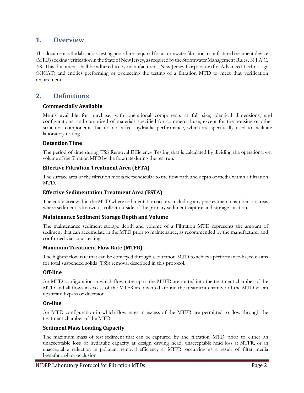# **1. Overview**

This document is the laboratory testing procedures required for a stormwater filtration manufactured treatment device (MTD) seeking verification in the State of New Jersey, as required by the Stormwater Management Rules, N.J.A.C. 7:8. This document shall be adhered to by manufacturers, New Jersey Corporation for Advanced Technology (NJCAT) and entities preforming or overseeing the testing of a filtration MTD to meet that verification requirement.

# **2. Definitions**

### **Commercially Available**

Means available for purchase, with operational components at full size, identical dimensions, and configurations, and comprised of materials specified for commercial use, except for the housing or other structural components that do not affect hydraulic performance, which are specifically used to facilitate laboratory testing.

### **Detention Time**

The period of time during TSS Removal Efficiency Testing that is calculated by dividing the operational wet volume of the filtration MTD by the flow rate during the testrun.

### **Effective Filtration Treatment Area (EFTA)**

The surface area of the filtration media perpendicular to the flow path and depth of media within a filtration MTD.

### **Effective Sedimentation Treatment Area (ESTA)**

The entire area within the MTD where sedimentation occurs, including any pretreatment chambers or areas where sediment is known to collect outside of the primary sediment capture and storage location.

#### **Maintenance Sediment Storage Depth and Volume**

The maintenance sediment storage depth and volume of a Filtration MTD represents the amount of sediment that can accumulate in the MTD prior to maintenance, as recommended by the manufacturer and confirmed via scour testing

#### **Maximum Treatment Flow Rate (MTFR)**

The highest flow rate that can be conveyed through a Filtration MTD to achieve performance-based claims for total suspended solids (TSS) removal described in this protocol.

#### **Off-line**

An MTD configuration in which flow rates up to the MTFR are routed into the treatment chamber of the MTD and all flows in excess of the MTFR are diverted around the treatment chamber of the MTD via an upstream bypass or diversion.

#### **On-line**

An MTD configuration in which flow rates in excess of the MTFR are permitted to flow through the treatment chamber of the MTD.

#### **Sediment Mass Loading Capacity**

The maximum mass of test sediment that can be captured by the filtration MTD prior to either an unacceptable loss of hydraulic capacity at design driving head, unacceptable head loss at MTFR, or an unacceptable reduction in pollutant removal efficiency at MTFR, occurring as a result of filter media breakthrough or occlusion.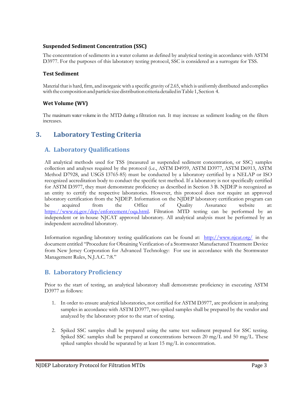## **Suspended Sediment Concentration (SSC)**

The concentration of sediments in a water column as defined by analytical testing in accordance with ASTM D3977. For the purposes of this laboratory testing protocol, SSC is considered as a surrogate for TSS.

### **Test Sediment**

Material that is hard, firm, and inorganic with a specific gravity of 2.65, which is uniformly distributed andcomplies with the composition and particle size distribution criteria detailed in Table 1, Section 4.

## **Wet Volume (WV)**

The maximum water volume in the MTD during a filtration run. It may increase as sediment loading on the filters increases.

# **3. Laboratory Testing Criteria**

## **A. Laboratory Qualifications**

All analytical methods used for TSS (measured as suspended sediment concentration, or SSC) samples collection and analyses required by the protocol (i.e., ASTM D4959, ASTM D3977, ASTM D6913, ASTM Method D7928, and USGS I3765-85) must be conducted by a laboratory certified by a NELAP or ISO recognized accreditation body to conduct the specific test method. If a laboratory is not specifically certified for ASTM D3977, they must demonstrate proficiency as described in Section 3 B. NJDEP is recognized as an entity to certify the respective laboratories. However, this protocol does not require an approved laboratory certification from the NJDEP. Information on the NJDEP laboratory certification program can be acquired from the Office of Quality Assurance website at: https://www.nj.gov/dep/enforcement/oqa.html. Filtration MTD testing can be performed by an independent or in-house NJCAT approved laboratory. All analytical analysis must be performed by an independent accredited laboratory.

Information regarding laboratory testing qualifications can be found at: <http://www.njcat.org/> in the document entitled "Procedure for Obtaining Verification of a Stormwater Manufactured Treatment Device from New Jersey Corporation for Advanced Technology: For use in accordance with the Stormwater Management Rules, N.J.A.C. 7:8."

## **B. Laboratory Proficiency**

Prior to the start of testing, an analytical laboratory shall demonstrate proficiency in executing ASTM D3977 as follows:

- 1. In order to ensure analytical laboratories, not certified for ASTM D3977, are proficient in analyzing samples in accordance with ASTM D3977, two spiked samples shall be prepared by the vendor and analyzed by the laboratory prior to the start of testing.
- 2. Spiked SSC samples shall be prepared using the same test sediment prepared for SSC testing. Spiked SSC samples shall be prepared at concentrations between 20 mg/L and 50 mg/L. These spiked samples should be separated by at least 15 mg/L in concentration.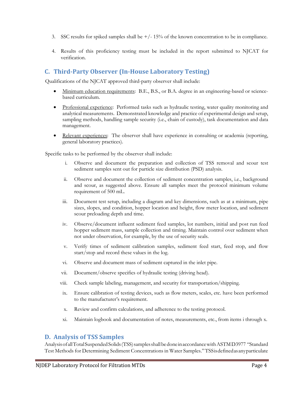- 3. SSC results for spiked samples shall be  $+/-15%$  of the known concentration to be in compliance.
- 4. Results of this proficiency testing must be included in the report submitted to NJCAT for verification.

## **C. Third-Party Observer (In-House Laboratory Testing)**

Qualifications of the NJCAT approved third-party observer shall include:

- Minimum education requirements: B.E., B.S., or B.A. degree in an engineering-based or sciencebased curriculum.
- Professional experience: Performed tasks such as hydraulic testing, water quality monitoring and analytical measurements. Demonstrated knowledge and practice of experimental design and setup, sampling methods, handling sample security (i.e., chain of custody), task documentation and data management.
- Relevant experiences: The observer shall have experience in consulting or academia (reporting, general laboratory practices).

Specific tasks to be performed by the observer shall include:

- i. Observe and document the preparation and collection of TSS removal and scour test sediment samples sent out for particle size distribution (PSD) analysis.
- ii. Observe and document the collection of sediment concentration samples, i.e., background and scour, as suggested above. Ensure all samples meet the protocol minimum volume requirement of 500 mL.
- iii. Document test setup, including a diagram and key dimensions, such as at a minimum, pipe sizes, slopes, and condition, hopper location and height, flow meter location, and sediment scour preloading depth and time.
- iv. Observe/document influent sediment feed samples, lot numbers, initial and post run feed hopper sediment mass, sample collection and timing. Maintain control over sediment when not under observation, for example, by the use of security seals.
- v. Verify times of sediment calibration samples, sediment feed start, feed stop, and flow start/stop and record these values in the log.
- vi. Observe and document mass of sediment captured in the inlet pipe.
- vii. Document/observe specifics of hydraulic testing (driving head).
- viii. Check sample labeling, management, and security for transportation/shipping.
- ix. Ensure calibration of testing devices, such as flow meters, scales, etc. have been performed to the manufacturer's requirement.
- x. Review and confirm calculations, and adherence to the testing protocol.
- xi. Maintain logbook and documentation of notes, measurements, etc., from items i through x.

## **D. Analysis of TSS Samples**

AnalysisofallTotalSuspendedSolids(TSS)samplesshallbedoneinaccordancewithASTMD3977 "Standard Test Methods for Determining Sediment Concentrations in Water Samples."TSSisdefinedasanyparticulate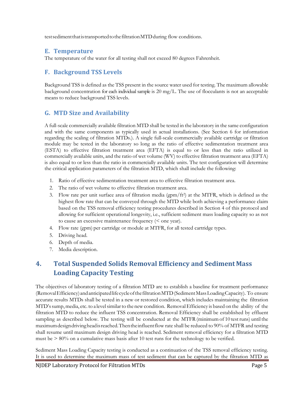testsedimentthatistransportedtothefiltrationMTDduring flow conditions.

## **E. Temperature**

The temperature of the water for all testing shall not exceed 80 degrees Fahrenheit.

# **F. Background TSS Levels**

Background TSS is defined as the TSS present in the source water used for testing. The maximum allowable background concentration for each individual sample is  $20 \text{ mg/L}$ . The use of flocculants is not an acceptable means to reduce background TSS levels.

# **G. MTD Size and Availability**

A full-scale commercially available filtration MTD shall be tested in the laboratory in the same configuration and with the same components as typically used in actual installations. (See Section 6 for information regarding the scaling of filtration MTDs.). A single full-scale commercially available cartridge or filtration module may be tested in the laboratory so long as the ratio of effective sedimentation treatment area (ESTA) to effective filtration treatment area (EFTA) is equal to or less than the ratio utilized in commercially available units, and the ratio of wet volume (WV) to effective filtration treatment area (EFTA) is also equal to or less than the ratio in commercially available units. The test configuration will determine the critical application parameters of the filtration MTD, which shall include the following:

- 1. Ratio of effective sedimentation treatment area to effective filtration treatment area.
- 2. The ratio of wet volume to effective filtration treatment area.
- 3. Flow rate per unit surface area of filtration media  $(gpm/ft^2)$  at the MTFR, which is defined as the highest flow rate that can be conveyed through the MTD while both achieving a performance claim based on the TSS removal efficiency testing procedures described in Section 4 of this protocol and allowing for sufficient operational longevity, i.e., sufficient sediment mass loading capacity so as not to cause an excessive maintenance frequency (< one year).
- 4. Flow rate (gpm) per cartridge or module at MTFR, for all tested cartridge types.
- 5. Driving head.
- 6. Depth of media.
- 7. Media description.

# **4. Total Suspended Solids Removal Efficiency and Sediment Mass Loading Capacity Testing**

The objectives of laboratory testing of a filtration MTD are to establish a baseline for treatment performance (RemovalEfficiency)andanticipatedlifecycleofthefiltrationMTD(SedimentMassLoadingCapacity). To ensure accurate results MTDs shall be tested in a new or restored condition, which includes maintaining the filtration MTD's sump, media, etc. to a level similar to the new condition. Removal Efficiency is based on the ability of the filtration MTD to reduce the influent TSS concentration. Removal Efficiency shall be established by effluent sampling as described below. The testing will be conducted at the MTFR (minimum of 10 test runs) until the maximumdesigndrivingheadisreached.Thentheinfluentflow rate shall be reduced to 90% of MTFR and testing shall resume until maximum design driving head is reached. Sediment removal efficiency for a filtration MTD must be  $> 80\%$  on a cumulative mass basis after 10 test runs for the technology to be verified.

Sediment Mass Loading Capacity testing is conducted as a continuation of the TSS removal efficiency testing. It is used to determine the maximum mass of test sediment that can be captured by the filtration MTD as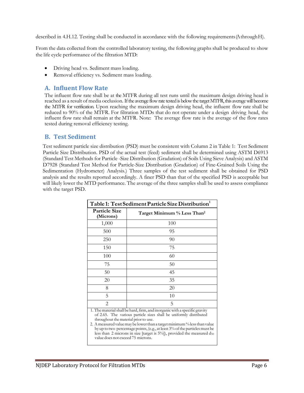described in 4.H.12. Testing shall be conducted in accordance with the following requirements(AthroughH).

From the data collected from the controlled laboratory testing, the following graphs shall be produced to show the life cycle performance of the filtration MTD:

- Driving head vs. Sediment mass loading.
- Removal efficiency vs. Sediment mass loading.

## **A. Influent Flow Rate**

The influent flow rate shall be at the MTFR during all test runs until the maximum design driving head is reached as a result of media occlusion. If the average flow rate tested is below the target MTFR, this average will become the MTFR for verification. Upon reaching the maximum design driving head, the influent flow rate shall be reduced to 90% of the MTFR. For filtration MTDs that do not operate under a design driving head, the influent flow rate shall remain at the MTFR. Note: The average flow rate is the average of the flow rates tested during removal efficiency testing.

## **B. Test Sediment**

Test sediment particle size distribution (PSD) must be consistent with Column 2 in Table 1: Test Sediment Particle Size Distribution. PSD of the actual test (feed) sediment shall be determined using ASTM D6913 (Standard Test Methods for Particle -Size Distribution (Gradation) of Soils Using Sieve Analysis) and ASTM D7928 (Standard Test Method for Particle-Size Distribution (Gradation) of Fine-Grained Soils Using the Sedimentation (Hydrometer) Analysis.) Three samples of the test sediment shall be obtained for PSD analysis and the results reported accordingly. A finer PSD than that of the specified PSD is acceptable but will likely lower the MTD performance. The average of the three samples shall be used to assess compliance with the target PSD.

| Table 1: Test Sediment Particle Size Distribution <sup>1</sup>                                                                                                                                                                                                        |                                         |  |  |
|-----------------------------------------------------------------------------------------------------------------------------------------------------------------------------------------------------------------------------------------------------------------------|-----------------------------------------|--|--|
| <b>Particle Size</b><br>(Microns)                                                                                                                                                                                                                                     | Target Minimum % Less Than <sup>2</sup> |  |  |
| 1,000                                                                                                                                                                                                                                                                 | 100                                     |  |  |
| 500                                                                                                                                                                                                                                                                   | 95                                      |  |  |
| 250                                                                                                                                                                                                                                                                   | 90                                      |  |  |
| 150                                                                                                                                                                                                                                                                   | 75                                      |  |  |
| 100                                                                                                                                                                                                                                                                   | 60                                      |  |  |
| 75                                                                                                                                                                                                                                                                    | 50                                      |  |  |
| 50                                                                                                                                                                                                                                                                    | 45                                      |  |  |
| 20                                                                                                                                                                                                                                                                    | 35                                      |  |  |
| 8                                                                                                                                                                                                                                                                     | 20                                      |  |  |
| 5                                                                                                                                                                                                                                                                     | 10                                      |  |  |
| $\overline{2}$                                                                                                                                                                                                                                                        | 5                                       |  |  |
| 1. The material shall be hard, firm, and inorganic with a specific gravity<br>of 2.65. The various particle sizes shall be uniformly distributed<br>throughout the material prior to use.<br>2. A measured value may be lower than a target minimum % less than value |                                         |  |  |

by up to two percentage points, (e.g., at least 3% of the particles must be less than 2 microns in size [target is  $5\%$ ]), provided the measured  $d_{50}$ value does not exceed 75 microns.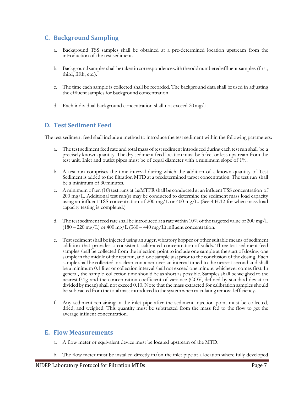# **C. Background Sampling**

- a. Background TSS samples shall be obtained at a pre-determined location upstream from the introduction of the test sediment.
- b. Backgroundsamplesshallbe takenincorrespondencewiththeoddnumberedeffluent samples (first, third, fifth, etc.).
- c. The time each sample is collected shall be recorded. The background data shall be used in adjusting the effluent samples for background concentration.
- d. Each individual background concentration shall not exceed 20mg/L.

## **D. Test Sediment Feed**

The test sediment feed shall include a method to introduce the test sediment within the following parameters:

- a. The test sediment feed rate and total mass of test sediment introduced during each test run shall be a precisely known quantity. The dry sediment feed location must be 3 feet or less upstream from the test unit. Inlet and outlet pipes must be of equal diameter with a minimum slope of 1%.
- b. A test run comprises the time interval during which the addition of a known quantity of Test Sediment is added to the filtration MTD at a predetermined target concentration. The test run shall be a minimum of 30minutes.
- c. A minimum of ten (10) test runs at the MTFR shall be conducted at an influent TSS concentration of 200 mg/L. Additional test run(s) may be conducted to determine the sediment mass load capacity using an influent TSS concentration of 200 mg/L or 400 mg/L. (See 4.H.12 for when mass load capacity testing is completed.)
- d. The test sediment feed rate shall be introduced at a rate within 10% of the targeted value of 200 mg/L  $(180 - 220 \text{ mg/L})$  or  $400 \text{ mg/L}$  (360 – 440 mg/L) influent concentration.
- e. Test sediment shall be injected using an auger, vibratory hopper or other suitable means of sediment addition that provides a consistent, calibrated concentration of solids. Three test sediment feed samples shall be collected from the injection point to include one sample at the start of dosing, one sample in the middle of the testrun, and one sample just prior to the conclusion of the dosing. Each sample shall be collected in a clean container over an interval timed to the nearest second and shall be a minimum 0.1 liter or collection interval shall not exceed one minute, whichever comes first. In general, the sample collection time should be as short as possible. Samples shall be weighed to the nearest 0.1g and the concentration coefficient of variance (COV, defined by standard deviation divided by mean) shall not exceed 0.10. Note that the mass extracted for calibration samples should be subtracted from the total mass introduced to the system when calculating removal efficiency.
- f. Any sediment remaining in the inlet pipe after the sediment injection point must be collected, dried, and weighed. This quantity must be subtracted from the mass fed to the flow to get the average influent concentration.

## **E. Flow Measurements**

- a. A flow meter or equivalent device must be located upstream of the MTD.
- b. The flow meter must be installed directly in/on the inlet pipe at a location where fully developed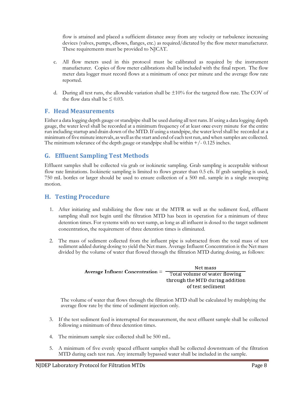flow is attained and placed a sufficient distance away from any velocity or turbulence increasing devices (valves, pumps, elbows, flanges, etc.) as required/dictated by the flow meter manufacturer. These requirements must be provided to NJCAT.

- c. All flow meters used in this protocol must be calibrated as required by the instrument manufacturer. Copies of flow meter calibrations shall be included with the final report. The flow meter data logger must record flows at a minimum of once per minute and the average flow rate reported.
- d. During all test runs, the allowable variation shall be  $\pm 10\%$  for the targeted flow rate. The COV of the flow data shall be  $\leq 0.03$ .

## **F. Head Measurements**

Either a data logging depth gauge or standpipe shall be used during all test runs.If using a data logging depth gauge, the water level shall be recorded at a minimum frequency of at least once every minute for the entire run including startup and drain down of the MTD.If using a standpipe, the water levelshall be recorded at a minimumoffiveminute intervals, aswell asthe start and end of each testrun, andwhen samples are collected. The minimum tolerance of the depth gauge or standpipe shall be within  $+/-0.125$  inches.

## **G. Effluent Sampling Test Methods**

Effluent samples shall be collected via grab or isokinetic sampling. Grab sampling is acceptable without flow rate limitations. Isokinetic sampling is limited to flows greater than 0.5 cfs. If grab sampling is used, 750 mL bottles or larger should be used to ensure collection of a 500 mL sample in a single sweeping motion.

## **H. Testing Procedure**

- 1. After initiating and stabilizing the flow rate at the MTFR as well as the sediment feed, effluent sampling shall not begin until the filtration MTD has been in operation for a minimum of three detention times. For systems with no wet sump, as long as all influent is dosed to the target sediment concentration, the requirement of three detention times is eliminated.
- 2. The mass of sediment collected from the influent pipe is subtracted from the total mass of test sediment added during dosing to yield the Net mass. Average Influent Concentration is the Net mass divided by the volume of water that flowed through the filtration MTD during dosing, as follows:

| Average Influent Concentration $=$ | Net mass                        |
|------------------------------------|---------------------------------|
|                                    | Total volume of water flowing   |
|                                    | through the MTD during addition |
|                                    | of test sediment                |

The volume of water that flows through the filtration MTD shall be calculated by multiplying the average flow rate by the time of sediment injection only.

- 3. If the test sediment feed is interrupted for measurement, the next effluent sample shall be collected following a minimum of three detention times.
- 4. The minimum sample size collected shall be 500 mL.
- 5. A minimum of five evenly spaced effluent samples shall be collected downstream of the filtration MTD during each test run. Any internally bypassed water shall be included in the sample.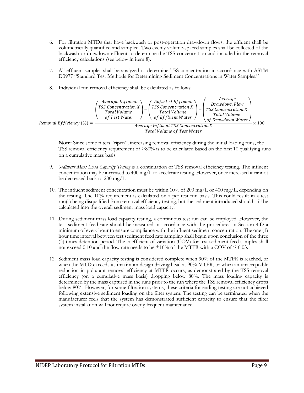- 6. For filtration MTDs that have backwash or post-operation drawdown flows, the effluent shall be volumetrically quantified and sampled. Two evenly volume-spaced samples shall be collected of the backwash or drawdown effluent to determine the TSS concentration and included in the removal efficiency calculations (see below in item 8).
- 7. All effluent samples shall be analyzed to determine TSS concentration in accordance with ASTM D3977 "Standard Test Methods for Determining Sediment Concentrations in Water Samples."
- 8. Individual run removal efficiency shall be calculated as follows:



**Note:** Since some filters "ripen", increasing removal efficiency during the initial loading runs, the TSS removal efficiency requirement of >80% is to be calculated based on the first 10 qualifying runs on a cumulative mass basis.

- 9. *Sediment Mass Load Capacity Testing* is a continuation of TSS removal efficiency testing. The influent concentration may be increased to 400 mg/L to accelerate testing. However, once increased it cannot be decreased back to 200 mg/L.
- 10. The influent sediment concentration must be within 10% of 200 mg/L or 400 mg/L, depending on the testing. The 10% requirement is calculated on a per test run basis. This could result in a test run(s) being disqualified from removal efficiency testing, but the sediment introduced should still be calculated into the overall sediment mass load capacity.
- 11. During sediment mass load capacity testing, a continuous test run can be employed. However, the test sediment feed rate should be measured in accordance with the procedures in Section 4.D a minimum of every hour to ensure compliance with the influent sediment concentration. The one (1) hour time interval between test sediment feed rate sampling shall begin upon conclusion of the three (3) times detention period. The coefficient of variation (COV) for test sediment feed samples shall not exceed 0.10 and the flow rate needs to be  $\pm 10\%$  of the MTFR with a COV of  $\leq 0.03$ .
- 12. Sediment mass load capacity testing is considered complete when 90% of the MTFR is reached, or when the MTD exceeds its maximum design driving head at 90% MTFR, or when an unacceptable reduction in pollutant removal efficiency at MTFR occurs, as demonstrated by the TSS removal efficiency (on a cumulative mass basis) dropping below 80%. The mass loading capacity is determined by the mass captured in the runs prior to the run where the TSS removal efficiency drops below 80%. However, for some filtration systems, these criteria for ending testing are not achieved following extensive sediment loading on the filter system. The testing can be terminated when the manufacturer feels that the system has demonstrated sufficient capacity to ensure that the filter system installation will not require overly frequent maintenance.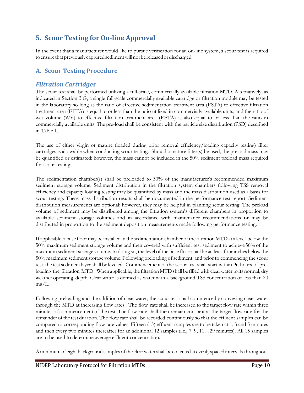# **5. Scour Testing for On-line Approval**

In the event that a manufacturer would like to pursue verification for an on-line system, a scour test is required to ensure that previously captured sediment will not be released or discharged.

## **A. Scour Testing Procedure**

## *Filtration Cartridges*

The scour test shall be performed utilizing a full-scale, commercially available filtration MTD. Alternatively, as indicated in Section 3.G, a single full-scale commercially available cartridge or filtration module may be tested in the laboratory so long as the ratio of effective sedimentation treatment area (ESTA) to effective filtration treatment area (EFTA) is equal to or less than the ratio utilized in commercially available units, and the ratio of wet volume (WV) to effective filtration treatment area (EFTA) is also equal to or less than the ratio in commercially available units. The pre-load shall be consistent with the particle size distribution (PSD) described in Table 1.

The use of either virgin or mature (loaded during prior removal efficiency/loading capacity testing) filter cartridges is allowable when conducting scour testing. Should a mature filter(s) be used, the preload mass may be quantified or estimated; however, the mass cannot be included in the 50% sediment preload mass required for scour testing.

The sedimentation chamber(s) shall be preloaded to 50% of the manufacturer's recommended maximum sediment storage volume. Sediment distribution in the filtration system chambers following TSS removal efficiency and capacity loading testing may be quantified by mass and the mass distribution used as a basis for scour testing. These mass distribution results shall be documented in the performance test report. Sediment distribution measurements are optional; however, they may be helpful in planning scour testing. The preload volume of sediment may be distributed among the filtration system's different chambers in proportion to available sediment storage volumes and in accordance with maintenance recommendations **or** may be distributed in proportion to the sediment deposition measurements made following performance testing.

If applicable, a false floormay be installed in the sedimentation chamber ofthe filtration MTDat a level below the 50% maximum sediment storage volume and then covered with sufficient test sediment to achieve 50% ofthe maximum sediment storage volume. In doing so, the level of the false floor shall be at least four inches below the 50% maximum sediment storage volume. Following preloading of sediment and prior to commencing the scour test, the test sediment layer shall be leveled. Commencement of the scour test shall start within 96 hours of preloading the filtration MTD. When applicable, the filtration MTD shall be filled with clear water to its normal, dry weather operating depth. Clear water is defined as water with a background TSS concentration of less than 20 mg/L.

Following preloading and the addition of clear water, the scour test shall commence by conveying clear water through the MTD at increasing flow rates. The flow rate shall be increased to the target flow rate within three minutes of commencement of the test. The flow rate shall then remain constant at the target flow rate for the remainder ofthe test duration. The flow rate shall be recorded continuously so that the effluent samples can be compared to corresponding flow rate values. Fifteen (15) effluent samples are to be taken at 1, 3 and 5 minutes and then every two minutes thereafter for an additional 12 samples (i.e., 7. 9, 11…29 minutes). All 15 samples are to be used to determine average effluent concentration.

A minimum of eight background samples of the clear water shall be collected at evenly spaced intervals throughout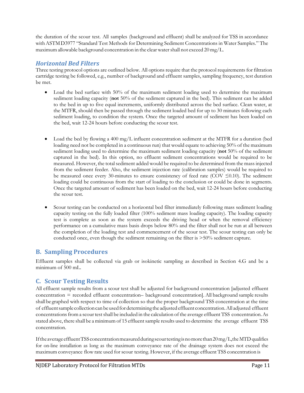the duration of the scour test. All samples (background and effluent) shall be analyzed for TSS in accordance withASTMD3977 "Standard Test Methods for Determining Sediment Concentrations in Water Samples." The maximum allowable background concentration in the clearwatershall not exceed 20 mg/L.

## *Horizontal Bed Filters*

Three testing protocol options are outlined below. All options require that the protocol requirements for filtration cartridge testing be followed, e.g., number of background and effluent samples, sampling frequency, test duration be met.

- Load the bed surface with 50% of the maximum sediment loading used to determine the maximum sediment loading capacity (**not** 50% of the sediment captured in the bed). This sediment can be added to the bed in up to five equal increments, uniformly distributed across the bed surface. Clean water, at the MTFR, should then be passed through the sediment loaded bed for up to 30 minutes following each sediment loading, to condition the system. Once the targeted amount of sediment has been loaded on the bed, wait 12-24 hours before conducting the scour test.
- Load the bed by flowing a 400 mg/L influent concentration sediment at the MTFR for a duration (bed loading need not be completed in a continuous run) that would equate to achieving 50% of the maximum sediment loading used to determine the maximum sediment loading capacity (**not** 50% of the sediment captured in the bed). In this option, no effluent sediment concentrations would be required to be measured. However, the total sediment added would be required to be determined from the mass injected from the sediment feeder. Also, the sediment injection rate (calibration samples) would be required to be measured once every 30-minutes to ensure consistency of feed rate (COV  $\leq 0.10$ ). The sediment loading could be continuous from the start of loading to the conclusion or could be done in segments. Once the targeted amount of sediment has been loaded on the bed, wait 12-24 hours before conducting the scour test.
- Scour testing can be conducted on a horizontal bed filter immediately following mass sediment loading capacity testing on the fully loaded filter (100% sediment mass loading capacity). The loading capacity test is complete as soon as the system exceeds the driving head or when the removal efficiency performance on a cumulative mass basis drops below 80% and the filter shall not be run at all between the completion of the loading test and commencement of the scour test. The scour testing can only be conducted once, even though the sediment remaining on the filter is >50% sediment capture.

# **B. Sampling Procedures**

Effluent samples shall be collected via grab or isokinetic sampling as described in Section 4.G and be a minimum of 500 mL.

# **C. Scour Testing Results**

All effluent sample results from a scour test shall be adjusted for background concentration [adjusted effluent concentration = recorded effluent concentration– background concentration]. All background sample results shall be graphed with respect to time of collection so that the proper background TSS concentration at the time of effluentsample collectioncan be usedfordetermining the adjusted effluent concentration.All adjusted effluent concentrations from a scour test shall be included in the calculation of the average effluent TSS concentration. As stated above, there shall be a minimum of 15 effluent sample results used to determine the average effluent TSS concentration.

If the average effluent TSS concentration measured during scourt esting is no more than  $20 \,\text{mg/L}$ , the MTD qualifies for on-line installation as long as the maximum conveyance rate of the drainage system does not exceed the maximum conveyance flow rate used for scour testing. However, if the average effluent TSS concentration is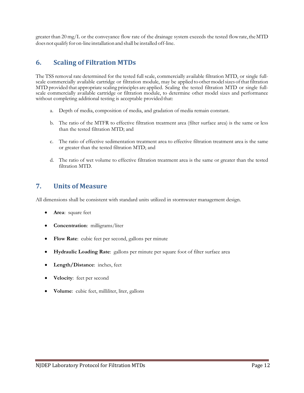greater than  $20 \text{ mg/L}$  or the conveyance flow rate of the drainage system exceeds the tested flow rate, the MTD does not qualify for on-line installation and shall be installed off-line.

# **6. Scaling of Filtration MTDs**

The TSS removal rate determined for the tested full scale, commercially available filtration MTD, or single fullscale commercially available cartridge or filtration module, may be applied to other model sizes of that filtration MTD provided that appropriate scaling principles are applied. Scaling the tested filtration MTD or single fullscale commercially available cartridge or filtration module, to determine other model sizes and performance without completing additional testing is acceptable provided that:

- a. Depth of media, composition of media, and gradation of media remain constant.
- b. The ratio of the MTFR to effective filtration treatment area (filter surface area) is the same or less than the tested filtration MTD; and
- c. The ratio of effective sedimentation treatment area to effective filtration treatment area is the same or greater than the tested filtration MTD; and
- d. The ratio of wet volume to effective filtration treatment area is the same or greater than the tested filtration MTD.

# **7. Units of Measure**

All dimensions shall be consistent with standard units utilized in stormwater management design.

- Area: square feet
- **Concentration**: milligrams/liter
- Flow Rate: cubic feet per second, gallons per minute
- **Hydraulic Loading Rate**: gallons per minute per square foot of filter surface area
- **Length/Distance**: inches, feet
- Velocity: feet per second
- **Volume**: cubic feet, milliliter, liter, gallons